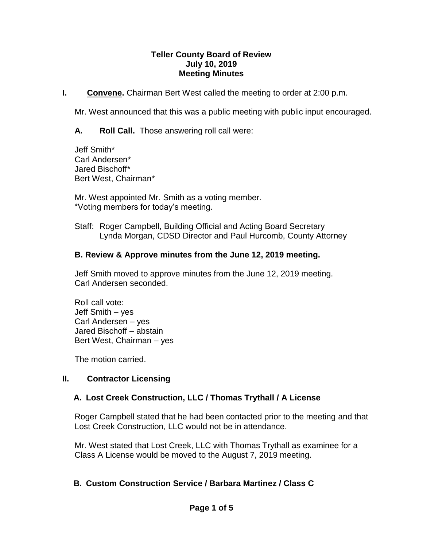#### **Teller County Board of Review July 10, 2019 Meeting Minutes**

**I. Convene.** Chairman Bert West called the meeting to order at 2:00 p.m.

Mr. West announced that this was a public meeting with public input encouraged.

**A. Roll Call.** Those answering roll call were:

Jeff Smith\* Carl Andersen\* Jared Bischoff\* Bert West, Chairman\*

Mr. West appointed Mr. Smith as a voting member. \*Voting members for today's meeting.

Staff: Roger Campbell, Building Official and Acting Board Secretary Lynda Morgan, CDSD Director and Paul Hurcomb, County Attorney

### **B. Review & Approve minutes from the June 12, 2019 meeting.**

Jeff Smith moved to approve minutes from the June 12, 2019 meeting. Carl Andersen seconded.

Roll call vote: Jeff Smith – yes Carl Andersen – yes Jared Bischoff – abstain Bert West, Chairman – yes

The motion carried.

## **II. Contractor Licensing**

## **A. Lost Creek Construction, LLC / Thomas Trythall / A License**

Roger Campbell stated that he had been contacted prior to the meeting and that Lost Creek Construction, LLC would not be in attendance.

Mr. West stated that Lost Creek, LLC with Thomas Trythall as examinee for a Class A License would be moved to the August 7, 2019 meeting.

# **B. Custom Construction Service / Barbara Martinez / Class C**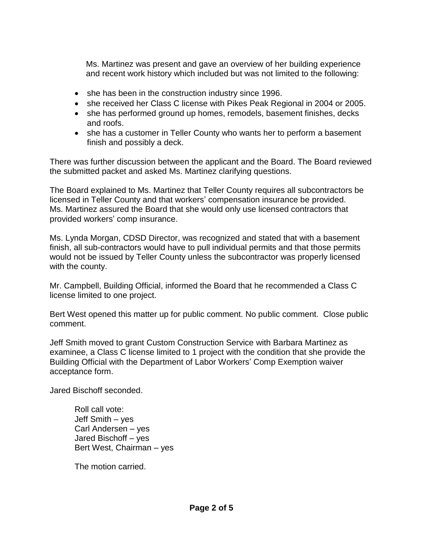Ms. Martinez was present and gave an overview of her building experience and recent work history which included but was not limited to the following:

- she has been in the construction industry since 1996.
- she received her Class C license with Pikes Peak Regional in 2004 or 2005.
- she has performed ground up homes, remodels, basement finishes, decks and roofs.
- she has a customer in Teller County who wants her to perform a basement finish and possibly a deck.

There was further discussion between the applicant and the Board. The Board reviewed the submitted packet and asked Ms. Martinez clarifying questions.

The Board explained to Ms. Martinez that Teller County requires all subcontractors be licensed in Teller County and that workers' compensation insurance be provided. Ms. Martinez assured the Board that she would only use licensed contractors that provided workers' comp insurance.

Ms. Lynda Morgan, CDSD Director, was recognized and stated that with a basement finish, all sub-contractors would have to pull individual permits and that those permits would not be issued by Teller County unless the subcontractor was properly licensed with the county.

Mr. Campbell, Building Official, informed the Board that he recommended a Class C license limited to one project.

Bert West opened this matter up for public comment. No public comment. Close public comment.

Jeff Smith moved to grant Custom Construction Service with Barbara Martinez as examinee, a Class C license limited to 1 project with the condition that she provide the Building Official with the Department of Labor Workers' Comp Exemption waiver acceptance form.

Jared Bischoff seconded.

Roll call vote: Jeff Smith – yes Carl Andersen – yes Jared Bischoff – yes Bert West, Chairman – yes

The motion carried.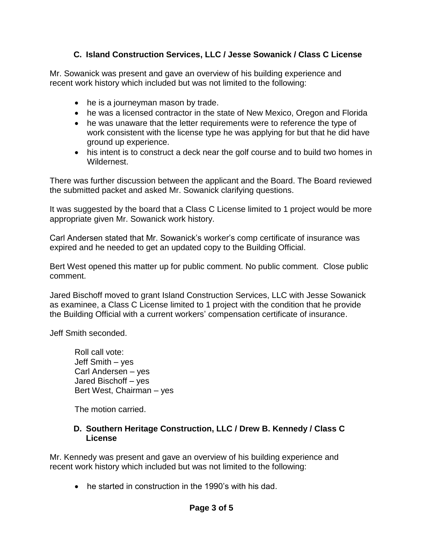# **C. Island Construction Services, LLC / Jesse Sowanick / Class C License**

Mr. Sowanick was present and gave an overview of his building experience and recent work history which included but was not limited to the following:

- he is a journeyman mason by trade.
- he was a licensed contractor in the state of New Mexico, Oregon and Florida
- he was unaware that the letter requirements were to reference the type of work consistent with the license type he was applying for but that he did have ground up experience.
- his intent is to construct a deck near the golf course and to build two homes in Wildernest.

There was further discussion between the applicant and the Board. The Board reviewed the submitted packet and asked Mr. Sowanick clarifying questions.

It was suggested by the board that a Class C License limited to 1 project would be more appropriate given Mr. Sowanick work history.

Carl Andersen stated that Mr. Sowanick's worker's comp certificate of insurance was expired and he needed to get an updated copy to the Building Official.

Bert West opened this matter up for public comment. No public comment. Close public comment.

Jared Bischoff moved to grant Island Construction Services, LLC with Jesse Sowanick as examinee, a Class C License limited to 1 project with the condition that he provide the Building Official with a current workers' compensation certificate of insurance.

Jeff Smith seconded.

Roll call vote: Jeff Smith – yes Carl Andersen – yes Jared Bischoff – yes Bert West, Chairman – yes

The motion carried.

### **D. Southern Heritage Construction, LLC / Drew B. Kennedy / Class C License**

Mr. Kennedy was present and gave an overview of his building experience and recent work history which included but was not limited to the following:

• he started in construction in the 1990's with his dad.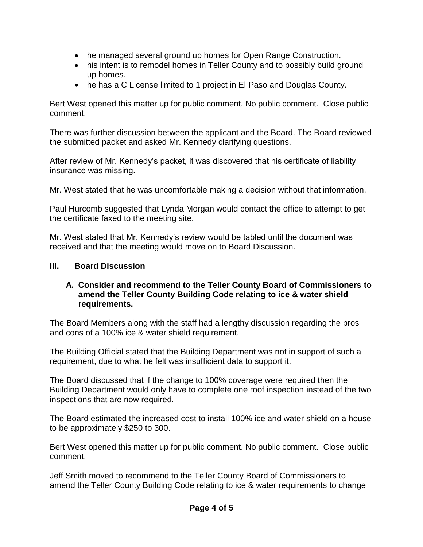- he managed several ground up homes for Open Range Construction.
- his intent is to remodel homes in Teller County and to possibly build ground up homes.
- he has a C License limited to 1 project in El Paso and Douglas County.

Bert West opened this matter up for public comment. No public comment. Close public comment.

There was further discussion between the applicant and the Board. The Board reviewed the submitted packet and asked Mr. Kennedy clarifying questions.

After review of Mr. Kennedy's packet, it was discovered that his certificate of liability insurance was missing.

Mr. West stated that he was uncomfortable making a decision without that information.

Paul Hurcomb suggested that Lynda Morgan would contact the office to attempt to get the certificate faxed to the meeting site.

Mr. West stated that Mr. Kennedy's review would be tabled until the document was received and that the meeting would move on to Board Discussion.

## **III. Board Discussion**

### **A. Consider and recommend to the Teller County Board of Commissioners to amend the Teller County Building Code relating to ice & water shield requirements.**

The Board Members along with the staff had a lengthy discussion regarding the pros and cons of a 100% ice & water shield requirement.

The Building Official stated that the Building Department was not in support of such a requirement, due to what he felt was insufficient data to support it.

The Board discussed that if the change to 100% coverage were required then the Building Department would only have to complete one roof inspection instead of the two inspections that are now required.

The Board estimated the increased cost to install 100% ice and water shield on a house to be approximately \$250 to 300.

Bert West opened this matter up for public comment. No public comment. Close public comment.

Jeff Smith moved to recommend to the Teller County Board of Commissioners to amend the Teller County Building Code relating to ice & water requirements to change